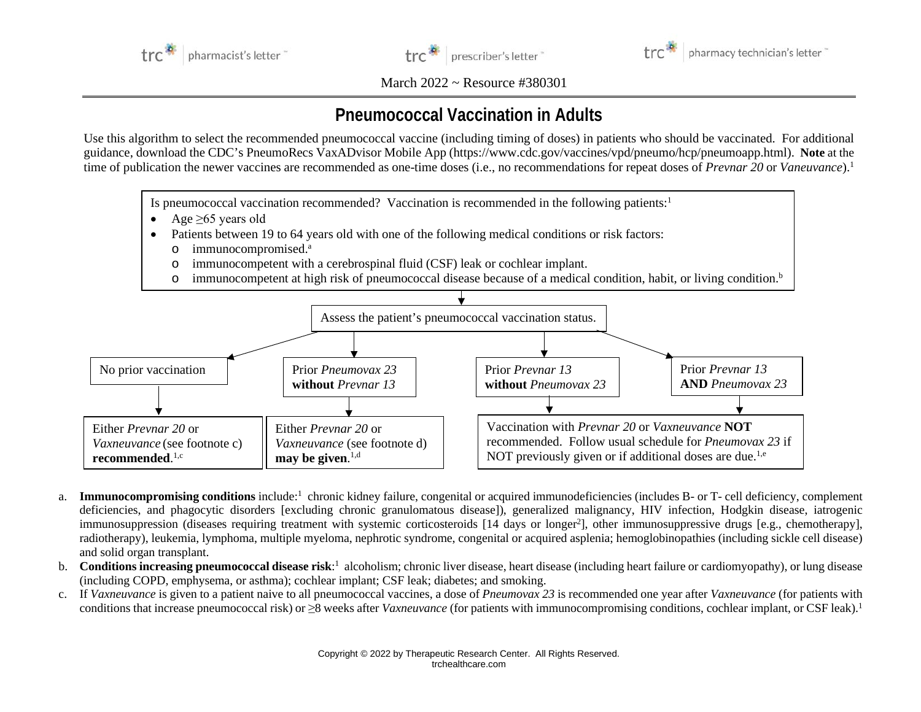



pharmacy technician's letter

March 2022 ~ Resource #380301

## **Pneumococcal Vaccination in Adults**

Use this algorithm to select the recommended pneumococcal vaccine (including timing of doses) in patients who should be vaccinated. For additional guidance, download the CDC's PneumoRecs VaxADvisor Mobile App (https://www.cdc.gov/vaccines/vpd/pneumo/hcp/pneumoapp.html). **Note** at the time of publication the newer vaccines are recommended as one-time doses (i.e., no recommendations for repeat doses of *Prevnar 20* or *Vaneuvance*). 1

Is pneumococcal vaccination recommended? Vaccination is recommended in the following patients:<sup>1</sup>

- Age  $\geq 65$  years old
- Patients between 19 to 64 years old with one of the following medical conditions or risk factors:
	- o immunocompromised. a
	- o immunocompetent with a cerebrospinal fluid (CSF) leak or cochlear implant.
	- o immunocompetent at high risk of pneumococcal disease because of a medical condition, habit, or living condition. b



- a. Immunocompromising conditions include:<sup>1</sup> chronic kidney failure, congenital or acquired immunodeficiencies (includes B- or T- cell deficiency, complement deficiencies, and phagocytic disorders [excluding chronic granulomatous disease]), generalized malignancy, HIV infection, Hodgkin disease, iatrogenic immunosuppression (diseases requiring treatment with systemic corticosteroids [14 days or longer<sup>2</sup>], other immunosuppressive drugs [e.g., chemotherapy], radiotherapy), leukemia, lymphoma, multiple myeloma, nephrotic syndrome, congenital or acquired asplenia; hemoglobinopathies (including sickle cell disease) and solid organ transplant.
- b. **Conditions increasing pneumococcal disease risk**: 1 alcoholism; chronic liver disease, heart disease (including heart failure or cardiomyopathy), or lung disease (including COPD, emphysema, or asthma); cochlear implant; CSF leak; diabetes; and smoking.
- c. If *Vaxneuvance* is given to a patient naive to all pneumococcal vaccines, a dose of *Pneumovax 23* is recommended one year after *Vaxneuvance* (for patients with conditions that increase pneumococcal risk) or ≥8 weeks after *Vaxneuvance* (for patients with immunocompromising conditions, cochlear implant, or CSF leak). 1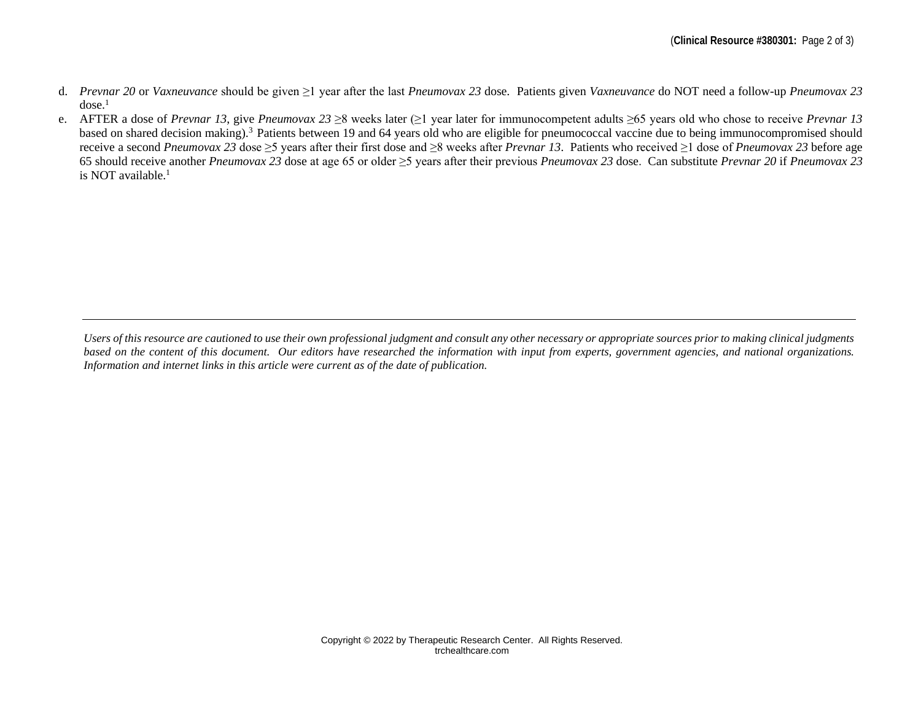- d. *Prevnar 20* or *Vaxneuvance* should be given ≥1 year after the last *Pneumovax 23* dose. Patients given *Vaxneuvance* do NOT need a follow-up *Pneumovax 23*  $dose.<sup>1</sup>$
- e. AFTER a dose of *Prevnar 13*, give *Pneumovax 23* ≥8 weeks later (≥1 year later for immunocompetent adults ≥65 years old who chose to receive *Prevnar 13* based on shared decision making).<sup>3</sup> Patients between 19 and 64 years old who are eligible for pneumococcal vaccine due to being immunocompromised should receive a second *Pneumovax 23* dose ≥5 years after their first dose and ≥8 weeks after *Prevnar 13*. Patients who received ≥1 dose of *Pneumovax 23* before age 65 should receive another *Pneumovax 23* dose at age 65 or older ≥5 years after their previous *Pneumovax 23* dose. Can substitute *Prevnar 20* if *Pneumovax 23* is NOT available. $<sup>1</sup>$ </sup>

*Users of this resource are cautioned to use their own professional judgment and consult any other necessary or appropriate sources prior to making clinical judgments based on the content of this document. Our editors have researched the information with input from experts, government agencies, and national organizations. Information and internet links in this article were current as of the date of publication.*